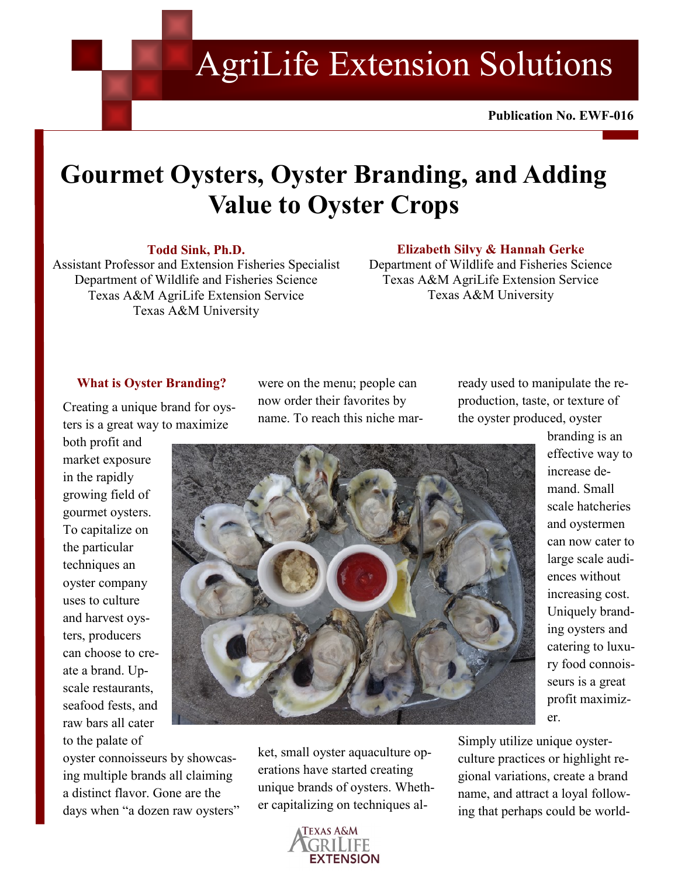AgriLife Extension Solutions

Publication No. **Publication No. EWF-016**

# **Gourmet Oysters, Oyster Branding, and Adding Value to Oyster Crops**

## **Todd Sink, Ph.D.**

Assistant Professor and Extension Fisheries Specialist Department of Wildlife and Fisheries Science Texas A&M AgriLife Extension Service Texas A&M University

## **Elizabeth Silvy & Hannah Gerke**

Department of Wildlife and Fisheries Science Texas A&M AgriLife Extension Service Texas A&M University

## **What is Oyster Branding?**

Creating a unique brand for oysters is a great way to maximize

both profit and market exposure in the rapidly growing field of gourmet oysters. To capitalize on the particular techniques an oyster company uses to culture and harvest oysters, producers can choose to create a brand. Upscale restaurants, seafood fests, and raw bars all cater to the palate of

were on the menu; people can now order their favorites by name. To reach this niche marready used to manipulate the reproduction, taste, or texture of the oyster produced, oyster



oyster connoisseurs by showcasing multiple brands all claiming a distinct flavor. Gone are the days when "a dozen raw oysters" ket, small oyster aquaculture operations have started creating unique brands of oysters. Whether capitalizing on techniques al-



effective way to increase demand. Small scale hatcheries and oystermen can now cater to large scale audiences without increasing cost. Uniquely branding oysters and catering to luxury food connoisseurs is a great profit maximizer.

branding is an

Simply utilize unique oysterculture practices or highlight regional variations, create a brand name, and attract a loyal following that perhaps could be world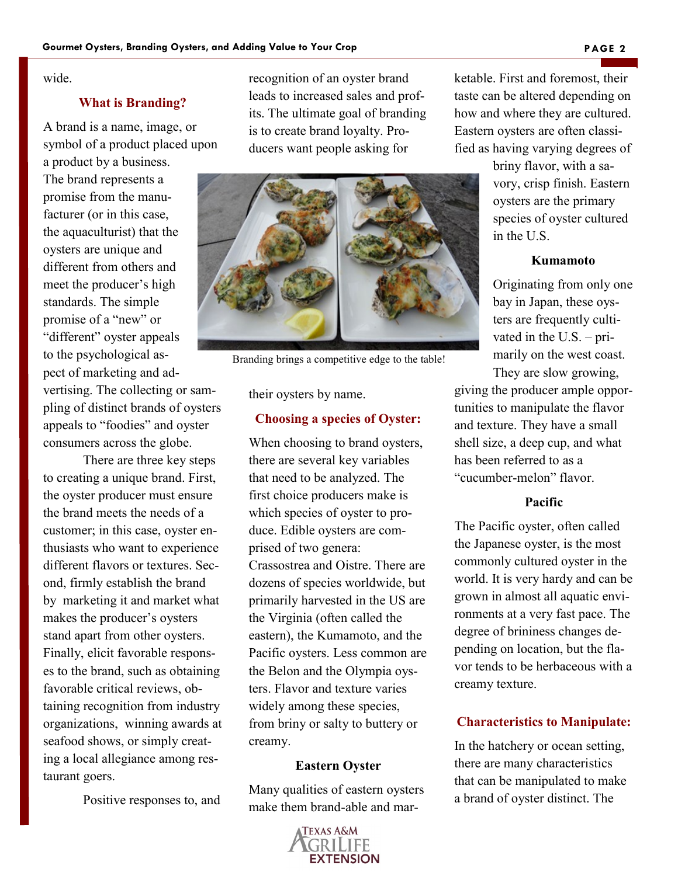wide.

## **What is Branding?**

A brand is a name, image, or symbol of a product placed upon

a product by a business. The brand represents a promise from the manufacturer (or in this case, the aquaculturist) that the oysters are unique and different from others and meet the producer's high standards. The simple promise of a "new" or "different" oyster appeals to the psychological aspect of marketing and advertising. The collecting or sampling of distinct brands of oysters appeals to "foodies" and oyster consumers across the globe.

There are three key steps to creating a unique brand. First, the oyster producer must ensure the brand meets the needs of a customer; in this case, oyster enthusiasts who want to experience different flavors or textures. Second, firmly establish the brand by marketing it and market what makes the producer's oysters stand apart from other oysters. Finally, elicit favorable responses to the brand, such as obtaining favorable critical reviews, obtaining recognition from industry organizations, winning awards at seafood shows, or simply creating a local allegiance among restaurant goers.

Positive responses to, and

recognition of an oyster brand leads to increased sales and profits. The ultimate goal of branding is to create brand loyalty. Producers want people asking for



Branding brings a competitive edge to the table!

their oysters by name.

#### **Choosing a species of Oyster:**

When choosing to brand oysters, there are several key variables that need to be analyzed. The first choice producers make is which species of oyster to produce. Edible oysters are comprised of two genera: Crassostrea and Oistre. There are dozens of species worldwide, but primarily harvested in the US are the Virginia (often called the eastern), the Kumamoto, and the Pacific oysters. Less common are the Belon and the Olympia oysters. Flavor and texture varies widely among these species, from briny or salty to buttery or creamy.

#### **Eastern Oyster**

Many qualities of eastern oysters make them brand-able and mar-



ketable. First and foremost, their taste can be altered depending on how and where they are cultured. Eastern oysters are often classified as having varying degrees of

> briny flavor, with a savory, crisp finish. Eastern oysters are the primary species of oyster cultured in the U.S.

## **Kumamoto**

Originating from only one bay in Japan, these oysters are frequently cultivated in the U.S. – primarily on the west coast. They are slow growing,

giving the producer ample opportunities to manipulate the flavor and texture. They have a small shell size, a deep cup, and what has been referred to as a "cucumber-melon" flavor.

#### **Pacific**

The Pacific oyster, often called the Japanese oyster, is the most commonly cultured oyster in the world. It is very hardy and can be grown in almost all aquatic environments at a very fast pace. The degree of brininess changes depending on location, but the flavor tends to be herbaceous with a creamy texture.

## **Characteristics to Manipulate:**

In the hatchery or ocean setting, there are many characteristics that can be manipulated to make a brand of oyster distinct. The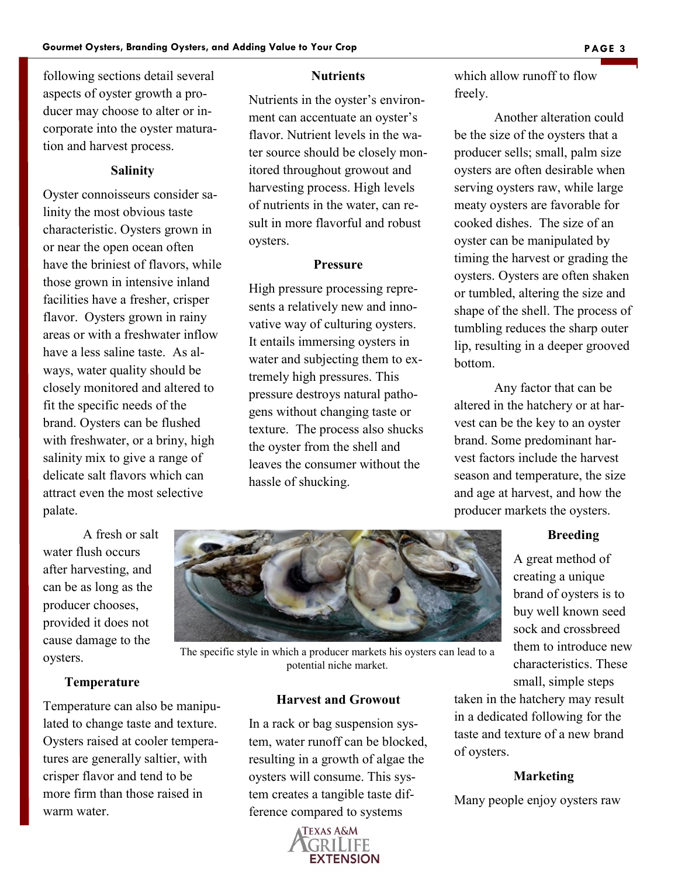following sections detail several aspects of oyster growth a producer may choose to alter or incorporate into the oyster maturation and harvest process.

## **Salinity**

Oyster connoisseurs consider salinity the most obvious taste characteristic. Oysters grown in or near the open ocean often have the briniest of flavors, while those grown in intensive inland facilities have a fresher, crisper flavor. Oysters grown in rainy areas or with a freshwater inflow have a less saline taste. As always, water quality should be closely monitored and altered to fit the specific needs of the brand. Oysters can be flushed with freshwater, or a briny, high salinity mix to give a range of delicate salt flavors which can attract even the most selective palate.

## **Nutrients**

Nutrients in the oyster's environment can accentuate an oyster's flavor. Nutrient levels in the water source should be closely monitored throughout growout and harvesting process. High levels of nutrients in the water, can result in more flavorful and robust oysters.

### **Pressure**

High pressure processing represents a relatively new and innovative way of culturing oysters. It entails immersing oysters in water and subjecting them to extremely high pressures. This pressure destroys natural pathogens without changing taste or texture. The process also shucks the oyster from the shell and leaves the consumer without the hassle of shucking.

which allow runoff to flow freely.

Another alteration could be the size of the oysters that a producer sells; small, palm size oysters are often desirable when serving oysters raw, while large meaty oysters are favorable for cooked dishes. The size of an oyster can be manipulated by timing the harvest or grading the oysters. Oysters are often shaken or tumbled, altering the size and shape of the shell. The process of tumbling reduces the sharp outer lip, resulting in a deeper grooved bottom.

Any factor that can be altered in the hatchery or at harvest can be the key to an oyster brand. Some predominant harvest factors include the harvest season and temperature, the size and age at harvest, and how the producer markets the oysters.

#### **Breeding**

A great method of creating a unique brand of oysters is to buy well known seed sock and crossbreed them to introduce new characteristics. These small, simple steps

taken in the hatchery may result in a dedicated following for the taste and texture of a new brand of oysters.

#### **Marketing**

Many people enjoy oysters raw

A fresh or salt water flush occurs after harvesting, and can be as long as the producer chooses, provided it does not cause damage to the oysters.

# **Temperature**

Temperature can also be manipulated to change taste and texture. Oysters raised at cooler temperatures are generally saltier, with crisper flavor and tend to be more firm than those raised in warm water.



The specific style in which a producer markets his oysters can lead to a potential niche market.

## **Harvest and Growout**

In a rack or bag suspension system, water runoff can be blocked, resulting in a growth of algae the oysters will consume. This system creates a tangible taste difference compared to systems